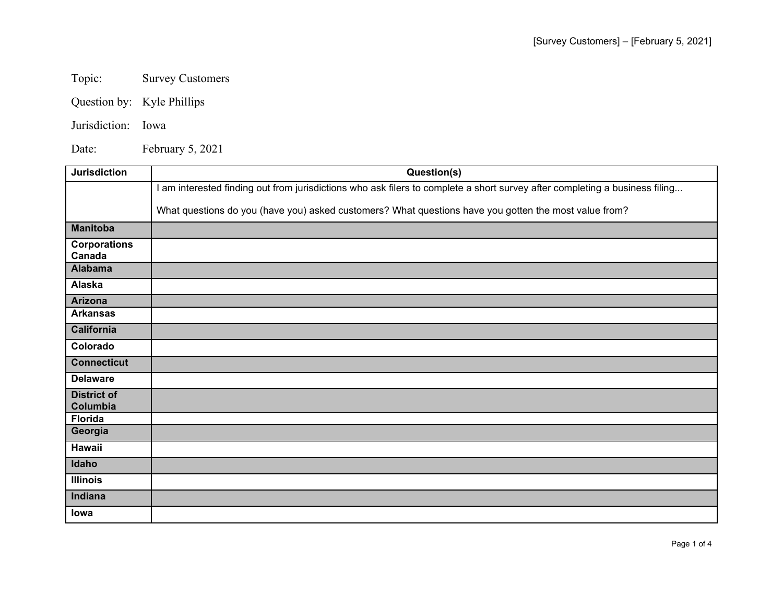Topic: Survey Customers

Question by: Kyle Phillips

Jurisdiction: Iowa

Date: February 5, 2021

| <b>Jurisdiction</b>            | Question(s)                                                                                                                 |
|--------------------------------|-----------------------------------------------------------------------------------------------------------------------------|
|                                | I am interested finding out from jurisdictions who ask filers to complete a short survey after completing a business filing |
|                                | What questions do you (have you) asked customers? What questions have you gotten the most value from?                       |
| <b>Manitoba</b>                |                                                                                                                             |
| <b>Corporations</b><br>Canada  |                                                                                                                             |
| <b>Alabama</b>                 |                                                                                                                             |
| Alaska                         |                                                                                                                             |
| Arizona                        |                                                                                                                             |
| <b>Arkansas</b>                |                                                                                                                             |
| <b>California</b>              |                                                                                                                             |
| Colorado                       |                                                                                                                             |
| <b>Connecticut</b>             |                                                                                                                             |
| <b>Delaware</b>                |                                                                                                                             |
| <b>District of</b><br>Columbia |                                                                                                                             |
| <b>Florida</b>                 |                                                                                                                             |
| Georgia                        |                                                                                                                             |
| Hawaii                         |                                                                                                                             |
| Idaho                          |                                                                                                                             |
| <b>Illinois</b>                |                                                                                                                             |
| Indiana                        |                                                                                                                             |
| lowa                           |                                                                                                                             |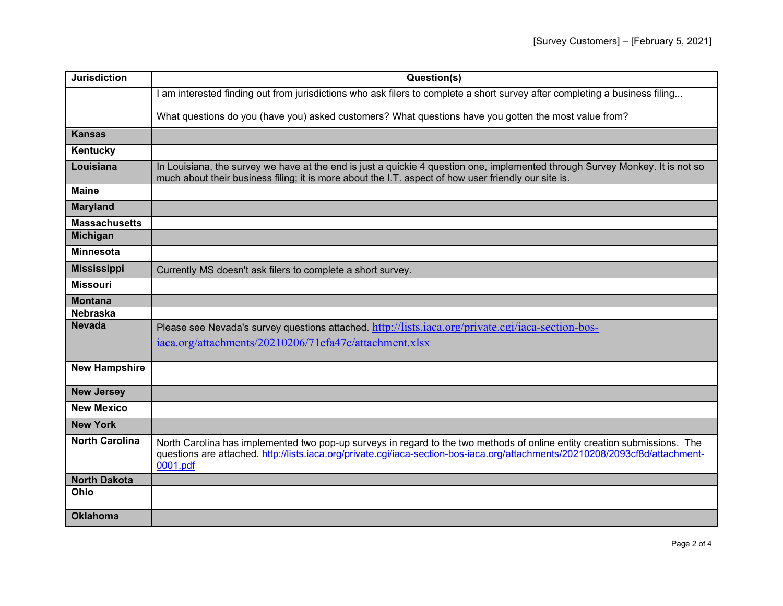| <b>Jurisdiction</b>   | Question(s)                                                                                                                                                                                                                                                            |
|-----------------------|------------------------------------------------------------------------------------------------------------------------------------------------------------------------------------------------------------------------------------------------------------------------|
|                       | I am interested finding out from jurisdictions who ask filers to complete a short survey after completing a business filing                                                                                                                                            |
|                       | What questions do you (have you) asked customers? What questions have you gotten the most value from?                                                                                                                                                                  |
| <b>Kansas</b>         |                                                                                                                                                                                                                                                                        |
| Kentucky              |                                                                                                                                                                                                                                                                        |
| Louisiana             | In Louisiana, the survey we have at the end is just a quickie 4 question one, implemented through Survey Monkey. It is not so<br>much about their business filing; it is more about the I.T. aspect of how user friendly our site is.                                  |
| <b>Maine</b>          |                                                                                                                                                                                                                                                                        |
| <b>Maryland</b>       |                                                                                                                                                                                                                                                                        |
| <b>Massachusetts</b>  |                                                                                                                                                                                                                                                                        |
| <b>Michigan</b>       |                                                                                                                                                                                                                                                                        |
| <b>Minnesota</b>      |                                                                                                                                                                                                                                                                        |
| <b>Mississippi</b>    | Currently MS doesn't ask filers to complete a short survey.                                                                                                                                                                                                            |
| <b>Missouri</b>       |                                                                                                                                                                                                                                                                        |
| <b>Montana</b>        |                                                                                                                                                                                                                                                                        |
| <b>Nebraska</b>       |                                                                                                                                                                                                                                                                        |
| <b>Nevada</b>         | Please see Nevada's survey questions attached. http://lists.iaca.org/private.cgi/iaca-section-bos-                                                                                                                                                                     |
|                       | iaca.org/attachments/20210206/71efa47c/attachment.xlsx                                                                                                                                                                                                                 |
| <b>New Hampshire</b>  |                                                                                                                                                                                                                                                                        |
|                       |                                                                                                                                                                                                                                                                        |
| <b>New Jersey</b>     |                                                                                                                                                                                                                                                                        |
| <b>New Mexico</b>     |                                                                                                                                                                                                                                                                        |
| <b>New York</b>       |                                                                                                                                                                                                                                                                        |
| <b>North Carolina</b> | North Carolina has implemented two pop-up surveys in regard to the two methods of online entity creation submissions. The<br>questions are attached. http://lists.iaca.org/private.ogi/iaca-section-bos-iaca.org/attachments/20210208/2093cf8d/attachment-<br>0001.pdf |
| <b>North Dakota</b>   |                                                                                                                                                                                                                                                                        |
| Ohio                  |                                                                                                                                                                                                                                                                        |
| <b>Oklahoma</b>       |                                                                                                                                                                                                                                                                        |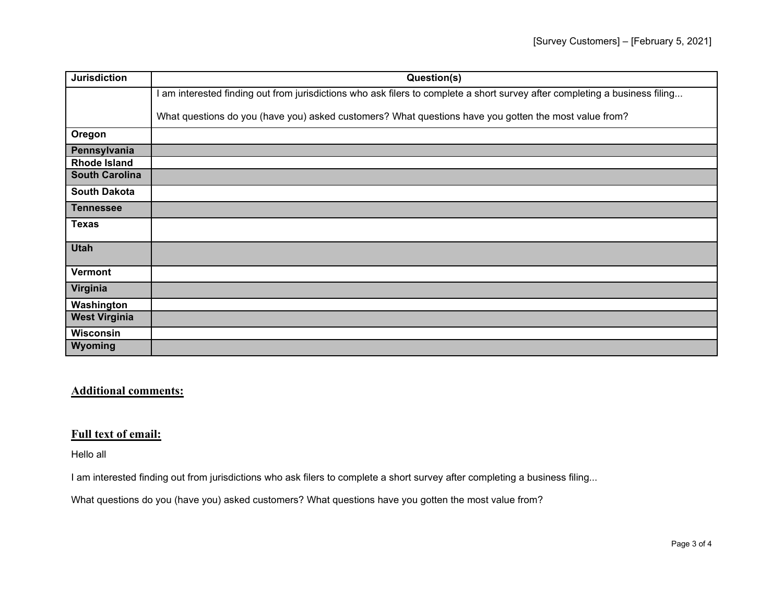| <b>Jurisdiction</b>   | Question(s)                                                                                                                 |
|-----------------------|-----------------------------------------------------------------------------------------------------------------------------|
|                       | I am interested finding out from jurisdictions who ask filers to complete a short survey after completing a business filing |
|                       | What questions do you (have you) asked customers? What questions have you gotten the most value from?                       |
| Oregon                |                                                                                                                             |
| Pennsylvania          |                                                                                                                             |
| <b>Rhode Island</b>   |                                                                                                                             |
| <b>South Carolina</b> |                                                                                                                             |
| <b>South Dakota</b>   |                                                                                                                             |
| <b>Tennessee</b>      |                                                                                                                             |
| <b>Texas</b>          |                                                                                                                             |
| <b>Utah</b>           |                                                                                                                             |
| <b>Vermont</b>        |                                                                                                                             |
| Virginia              |                                                                                                                             |
| Washington            |                                                                                                                             |
| <b>West Virginia</b>  |                                                                                                                             |
| Wisconsin             |                                                                                                                             |
| Wyoming               |                                                                                                                             |

## **Additional comments:**

## **Full text of email:**

Hello all

I am interested finding out from jurisdictions who ask filers to complete a short survey after completing a business filing...

What questions do you (have you) asked customers? What questions have you gotten the most value from?